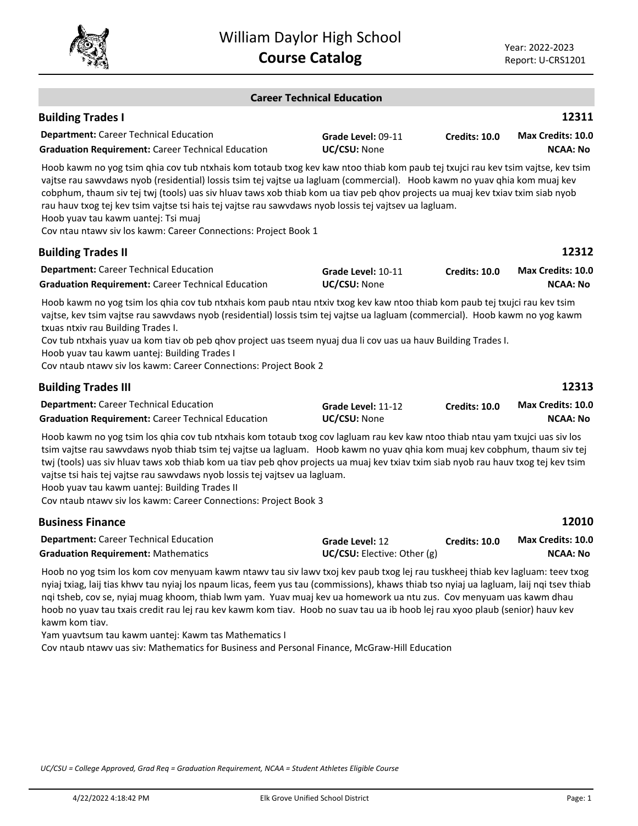

|                                                                                                                                                                                                                                                                                                                                                                                                                                                                                                                                                                                                                     | <b>Career Technical Education</b>              |                      |                                      |
|---------------------------------------------------------------------------------------------------------------------------------------------------------------------------------------------------------------------------------------------------------------------------------------------------------------------------------------------------------------------------------------------------------------------------------------------------------------------------------------------------------------------------------------------------------------------------------------------------------------------|------------------------------------------------|----------------------|--------------------------------------|
| <b>Building Trades I</b>                                                                                                                                                                                                                                                                                                                                                                                                                                                                                                                                                                                            |                                                |                      | 12311                                |
| <b>Department:</b> Career Technical Education<br><b>Graduation Requirement: Career Technical Education</b>                                                                                                                                                                                                                                                                                                                                                                                                                                                                                                          | Grade Level: 09-11<br>UC/CSU: None             | Credits: 10.0        | Max Credits: 10.0<br><b>NCAA: No</b> |
| Hoob kawm no yog tsim qhia cov tub ntxhais kom totaub txog kev kaw ntoo thiab kom paub tej txujci rau kev tsim vajtse, kev tsim<br>vajtse rau sawvdaws nyob (residential) lossis tsim tej vajtse ua lagluam (commercial). Hoob kawm no yuav qhia kom muaj kev<br>cobphum, thaum siv tej twj (tools) uas siv hluav taws xob thiab kom ua tiav peb qhov projects ua muaj kev txiav txim siab nyob<br>rau hauv txog tej kev tsim vajtse tsi hais tej vajtse rau sawvdaws nyob lossis tej vajtsev ua lagluam.<br>Hoob yuav tau kawm uantej: Tsi muaj<br>Cov ntau ntawv siv los kawm: Career Connections: Project Book 1 |                                                |                      |                                      |
| <b>Building Trades II</b>                                                                                                                                                                                                                                                                                                                                                                                                                                                                                                                                                                                           |                                                |                      | 12312                                |
| <b>Department:</b> Career Technical Education<br><b>Graduation Requirement: Career Technical Education</b>                                                                                                                                                                                                                                                                                                                                                                                                                                                                                                          | Grade Level: 10-11<br>UC/CSU: None             | <b>Credits: 10.0</b> | Max Credits: 10.0<br><b>NCAA: No</b> |
| Hoob kawm no yog tsim los qhia cov tub ntxhais kom paub ntau ntxiv txog kev kaw ntoo thiab kom paub tej txujci rau kev tsim<br>vajtse, kev tsim vajtse rau sawvdaws nyob (residential) lossis tsim tej vajtse ua lagluam (commercial). Hoob kawm no yog kawm<br>txuas ntxiv rau Building Trades I.<br>Cov tub ntxhais yuav ua kom tiav ob peb qhov project uas tseem nyuaj dua li cov uas ua hauv Building Trades I.<br>Hoob yuav tau kawm uantej: Building Trades I<br>Cov ntaub ntawv siv los kawm: Career Connections: Project Book 2                                                                            |                                                |                      |                                      |
| <b>Building Trades III</b>                                                                                                                                                                                                                                                                                                                                                                                                                                                                                                                                                                                          |                                                |                      | 12313                                |
| <b>Department:</b> Career Technical Education<br><b>Graduation Requirement: Career Technical Education</b>                                                                                                                                                                                                                                                                                                                                                                                                                                                                                                          | Grade Level: 11-12<br>UC/CSU: None             | <b>Credits: 10.0</b> | Max Credits: 10.0<br><b>NCAA: No</b> |
| Hoob kawm no yog tsim los qhia cov tub ntxhais kom totaub txog cov lagluam rau kev kaw ntoo thiab ntau yam txujci uas siv los<br>tsim vajtse rau sawvdaws nyob thiab tsim tej vajtse ua lagluam. Hoob kawm no yuav qhia kom muaj kev cobphum, thaum siv tej<br>twj (tools) uas siv hluav taws xob thiab kom ua tiav peb ghov projects ua muaj kev txiav txim siab nyob rau hauv txog tej kev tsim<br>vajtse tsi hais tej vajtse rau sawvdaws nyob lossis tej vajtsev ua lagluam.<br>Hoob yuav tau kawm uantej: Building Trades II<br>Cov ntaub ntawv siv los kawm: Career Connections: Project Book 3               |                                                |                      |                                      |
| <b>Business Finance</b>                                                                                                                                                                                                                                                                                                                                                                                                                                                                                                                                                                                             |                                                |                      | 12010                                |
| <b>Department:</b> Career Technical Education<br><b>Graduation Requirement: Mathematics</b>                                                                                                                                                                                                                                                                                                                                                                                                                                                                                                                         | Grade Level: 12<br>UC/CSU: Elective: Other (g) | <b>Credits: 10.0</b> | Max Credits: 10.0<br><b>NCAA: No</b> |
| Undergraphed and the second community of the contractor of the second the second development of the second development of the second second second the second second second second second second second second second second s                                                                                                                                                                                                                                                                                                                                                                                      |                                                |                      |                                      |

Hoob no yog tsim los kom cov menyuam kawm ntawv tau siv lawv txoj kev paub txog lej rau tuskheej thiab kev lagluam: teev txog nyiaj txiag, laij tias khwv tau nyiaj los npaum licas, feem yus tau (commissions), khaws thiab tso nyiaj ua lagluam, laij nqi tsev thiab nqi tsheb, cov se, nyiaj muag khoom, thiab lwm yam. Yuav muaj kev ua homework ua ntu zus. Cov menyuam uas kawm dhau hoob no yuav tau txais credit rau lej rau kev kawm kom tiav. Hoob no suav tau ua ib hoob lej rau xyoo plaub (senior) hauv kev kawm kom tiav.

Yam yuavtsum tau kawm uantej: Kawm tas Mathematics I Cov ntaub ntawv uas siv: Mathematics for Business and Personal Finance, McGraw-Hill Education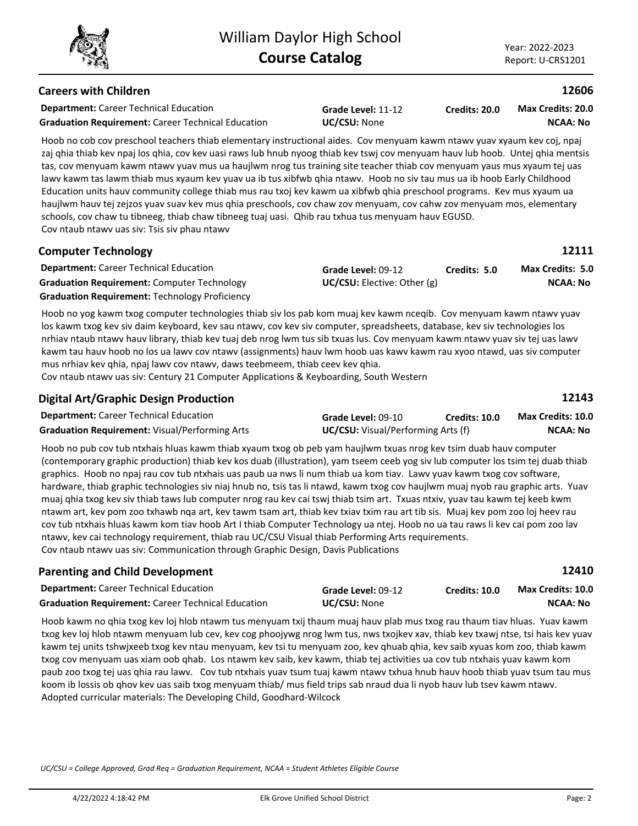# **Careers with Children**

**Department:** Career Technical Education **Graduation Requirement:** Career Technical Education **UC/CSU:** None

**Grade Level:** 11-12

**Credits: 20.0 NCAA: No Max Credits: 20.0**

Hoob no cob cov preschool teachers thiab elementary instructional aides. Cov menyuam kawm ntawv yuav xyaum zaj qhia thiab kev npaj los qhia, cov kev uasi raws lub hnub nyoog thiab kev tswj cov menyuam hauv lub hoob. Untej qhia mentsis tas, cov menyuam kawm ntawv yuav mus ua haujlwm nrog tus training site teacher thiab cov menyuam yaus mus xyaum tej uas lawv kawm tas lawm thiab mus xyaum kev yuav ua ib tus xibfwb qhia ntawv. Hoob no siv tau mus ua ib hoob Early Childhood Education units hauv community college thiab mus rau txoj kev kawm ua xibfwb qhia preschool programs. Kev mus xyaum ua haujlwm hauv tej zejzos yuav suav kev mus qhia preschools, cov chaw zov menyuam, cov cahw zov menyuam mos, elementary schools, cov chaw tu tibneeg, thiab chaw tibneeg tuaj uasi. Qhib rau txhua tus menyuam hauv EGUSD. Cov ntaub ntawv uas siv: Tsis siv phau ntawv

| <b>Computer Technology</b>                            |                                 |              | 12111                   |
|-------------------------------------------------------|---------------------------------|--------------|-------------------------|
| <b>Department:</b> Career Technical Education         | Grade Level: 09-12              | Credits: 5.0 | <b>Max Credits: 5.0</b> |
| <b>Graduation Requirement:</b> Computer Technology    | $UC/CSU:$ Elective: Other $(g)$ |              | NCAA: No                |
| <b>Graduation Requirement: Technology Proficiency</b> |                                 |              |                         |

Hoob no yog kawm txog computer technologies thiab siv los pab kom muaj kev kawm nceqib. Cov menyuam kawm ntawv yuav los kawm txog kev siv daim keyboard, kev sau ntawv, cov kev siv computer, spreadsheets, database, kev siv technologies los nrhiav ntaub ntawv hauv library, thiab kev tuaj deb nrog lwm tus sib txuas lus. Cov menyuam kawm ntawv yuav siv tej uas lawv kawm tau hauv hoob no los ua lawv cov ntawv (assignments) hauv lwm hoob uas kawv kawm rau xyoo ntawd, uas siv computer mus nrhiav kev qhia, npaj lawv cov ntawv, daws teebmeem, thiab ceev kev qhia.

Cov ntaub ntawv uas siv: Century 21 Computer Applications & Keyboarding, South Western

| <b>Digital Art/Graphic Design Production</b>          |                                           |                      | 12143             |
|-------------------------------------------------------|-------------------------------------------|----------------------|-------------------|
| <b>Department:</b> Career Technical Education         | Grade Level: 09-10                        | <b>Credits: 10.0</b> | Max Credits: 10.0 |
| <b>Graduation Requirement:</b> Visual/Performing Arts | <b>UC/CSU:</b> Visual/Performing Arts (f) |                      | <b>NCAA: No</b>   |

Hoob no pub cov tub ntxhais hluas kawm thiab xyaum txog ob peb yam haujlwm txuas nrog kev tsim duab hauv computer (contemporary graphic production) thiab kev kos duab (illustration), yam tseem ceeb yog siv lub computer los tsim tej duab thiab graphics. Hoob no npaj rau cov tub ntxhais uas paub ua nws li num thiab ua kom tiav. Lawv yuav kawm txog cov software, hardware, thiab graphic technologies siv niaj hnub no, tsis tas li ntawd, kawm txog cov haujlwm muaj nyob rau graphic arts. Yuav muaj qhia txog kev siv thiab taws lub computer nrog rau kev cai tswj thiab tsim art. Txuas ntxiv, yuav tau kawm tej keeb kwm ntawm art, kev pom zoo txhawb nqa art, kev tawm tsam art, thiab kev txiav txim rau art tib sis. Muaj kev pom zoo loj heev rau cov tub ntxhais hluas kawm kom tiav hoob Art I thiab Computer Technology ua ntej. Hoob no ua tau raws li kev cai pom zoo lav ntawv, kev cai technology requirement, thiab rau UC/CSU Visual thiab Performing Arts requirements. Cov ntaub ntawv uas siv: Communication through Graphic Design, Davis Publications

### **Parenting and Child Development**

| <b>Department:</b> Career Technical Education             | Grade Level: 09-12 | <b>Credits: 10.0</b> | <b>Max Credits: 10.0</b> |
|-----------------------------------------------------------|--------------------|----------------------|--------------------------|
| <b>Graduation Requirement:</b> Career Technical Education | UC/CSU: None       |                      | NCAA: No                 |

Hoob kawm no qhia txog kev loj hlob ntawm tus menyuam txij thaum muaj hauv plab mus txog rau thaum tiav hluas. Yuav kawm txog kev loj hlob ntawm menyuam lub cev, kev cog phoojywg nrog lwm tus, nws txojkev xav, thiab kev txawj ntse, tsi hais kev yuav kawm tej units tshwjxeeb txog kev ntau menyuam, kev tsi tu menyuam zoo, kev qhuab qhia, kev saib xyuas kom zoo, thiab kawm txog cov menyuam uas xiam oob qhab. Los ntawm kev saib, kev kawm, thiab tej activities ua cov tub ntxhais yuav kawm kom paub zoo txog tej uas qhia rau lawv. Cov tub ntxhais yuav tsum tuaj kawm ntawv txhua hnub hauv hoob thiab yuav tsum tau mus koom ib lossis ob qhov kev uas saib txog menyuam thiab/ mus field trips sab nraud dua li nyob hauv lub tsev kawm ntawv. Adopted curricular materials: The Developing Child, Goodhard-Wilcock

*UC/CSU = College Approved, Grad Req = Graduation Requirement, NCAA = Student Athletes Eligible Course*



| kev coj, npaj                      |  |
|------------------------------------|--|
| المقام والمتحدث والمرابط والمتارين |  |

**12606**

**12410**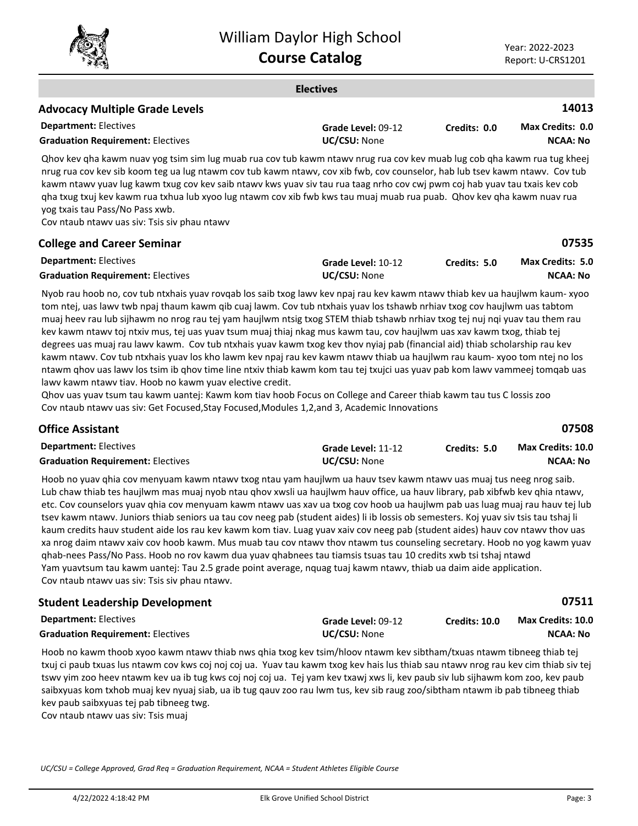

#### **Electives Department:** Electives **14013** Qhov kev qha kawm nuav yog tsim sim lug muab rua cov tub kawm ntawv nrug rua cov kev muab lug cob qha kawm rua tug kheej nrug rua cov kev sib koom teg ua lug ntawm cov tub kawm ntawv, cov xib fwb, cov counselor, hab lub tsev kawm ntawv. Cov tub kawm ntawv yuav lug kawm txug cov kev saib ntawv kws yuav siv tau rua taag nrho cov cwj pwm coj hab yuav tau txais kev cob qha txug txuj kev kawm rua txhua lub xyoo lug ntawm cov xib fwb kws tau muaj muab rua puab. Qhov kev qha kawm nuav rua yog txais tau Pass/No Pass xwb. **Advocacy Multiple Grade Levels Grade Level:** 09-12 **Graduation Requirement:** Electives **UC/CSU:** None **Credits: 0.0 NCAA: No Max Credits: 0.0**

Cov ntaub ntawv uas siv: Tsis siv phau ntawv

| <b>College and Career Seminar</b>        |                     |              | 07535            |
|------------------------------------------|---------------------|--------------|------------------|
| <b>Department: Electives</b>             | Grade Level: 10-12  | Credits: 5.0 | Max Credits: 5.0 |
| <b>Graduation Requirement: Electives</b> | <b>UC/CSU:</b> None |              | NCAA: No         |

Nyob rau hoob no, cov tub ntxhais yuav rovqab los saib txog lawv kev npaj rau kev kawm ntawv thiab kev ua haujlwm kaum- xyoo tom ntej, uas lawv twb npaj thaum kawm qib cuaj lawm. Cov tub ntxhais yuav los tshawb nrhiav txog cov haujlwm uas tabtom muaj heev rau lub sijhawm no nrog rau tej yam haujlwm ntsig txog STEM thiab tshawb nrhiav txog tej nuj nqi yuav tau them rau kev kawm ntawv toj ntxiv mus, tej uas yuav tsum muaj thiaj nkag mus kawm tau, cov haujlwm uas xav kawm txog, thiab tej degrees uas muaj rau lawv kawm. Cov tub ntxhais yuav kawm txog kev thov nyiaj pab (financial aid) thiab scholarship rau kev kawm ntawv. Cov tub ntxhais yuav los kho lawm kev npaj rau kev kawm ntawv thiab ua haujlwm rau kaum- xyoo tom ntej no los ntawm qhov uas lawv los tsim ib qhov time line ntxiv thiab kawm kom tau tej txujci uas yuav pab kom lawv vammeej tomqab uas lawv kawm ntawv tiav. Hoob no kawm yuav elective credit.

Qhov uas yuav tsum tau kawm uantej: Kawm kom tiav hoob Focus on College and Career thiab kawm tau tus C lossis zoo Cov ntaub ntawv uas siv: Get Focused,Stay Focused,Modules 1,2,and 3, Academic Innovations

### **Office Assistant**

| <b>Department: Electives</b>             | Grade Level: 11-12  | Credits: 5.0 | <b>Max Credits: 10.0</b> |
|------------------------------------------|---------------------|--------------|--------------------------|
| <b>Graduation Requirement: Electives</b> | <b>UC/CSU: None</b> |              | NCAA: No                 |

Hoob no yuav qhia cov menyuam kawm ntawv txog ntau yam haujlwm ua hauv tsev kawm ntawv uas muaj tus neeg nrog saib. Lub chaw thiab tes haujlwm mas muaj nyob ntau qhov xwsli ua haujlwm hauv office, ua hauv library, pab xibfwb kev qhia ntawv, etc. Cov counselors yuav qhia cov menyuam kawm ntawv uas xav ua txog cov hoob ua haujlwm pab uas luag muaj rau hauv tej lub tsev kawm ntawv. Juniors thiab seniors ua tau cov neeg pab (student aides) li ib lossis ob semesters. Koj yuav siv tsis tau tshaj li kaum credits hauv student aide los rau kev kawm kom tiav. Luag yuav xaiv cov neeg pab (student aides) hauv cov ntawv thov uas xa nrog daim ntawv xaiv cov hoob kawm. Mus muab tau cov ntawv thov ntawm tus counseling secretary. Hoob no yog kawm yuav qhab-nees Pass/No Pass. Hoob no rov kawm dua yuav qhabnees tau tiamsis tsuas tau 10 credits xwb tsi tshaj ntawd Yam yuavtsum tau kawm uantej: Tau 2.5 grade point average, nquag tuaj kawm ntawv, thiab ua daim aide application. Cov ntaub ntawv uas siv: Tsis siv phau ntawv.

## **Student Leadership Development**

| <b>Department: Electives</b>             | Grade Level: 09-12 | <b>Credits: 10.0</b> | <b>Max Credits: 10.0</b> |
|------------------------------------------|--------------------|----------------------|--------------------------|
| <b>Graduation Requirement: Electives</b> | UC/CSU: None       |                      | NCAA: No                 |

Hoob no kawm thoob xyoo kawm ntawv thiab nws qhia txog kev tsim/hloov ntawm kev sibtham/txuas ntawm tibneeg thiab tej txuj ci paub txuas lus ntawm cov kws coj noj coj ua. Yuav tau kawm txog kev hais lus thiab sau ntawv nrog rau kev cim thiab siv tej tswv yim zoo heev ntawm kev ua ib tug kws coj noj coj ua. Tej yam kev txawj xws li, kev paub siv lub sijhawm kom zoo, kev paub saibxyuas kom txhob muaj kev nyuaj siab, ua ib tug qauv zoo rau lwm tus, kev sib raug zoo/sibtham ntawm ib pab tibneeg thiab kev paub saibxyuas tej pab tibneeg twg.

Cov ntaub ntawv uas siv: Tsis muaj

*UC/CSU = College Approved, Grad Req = Graduation Requirement, NCAA = Student Athletes Eligible Course*

**07508**

**07511**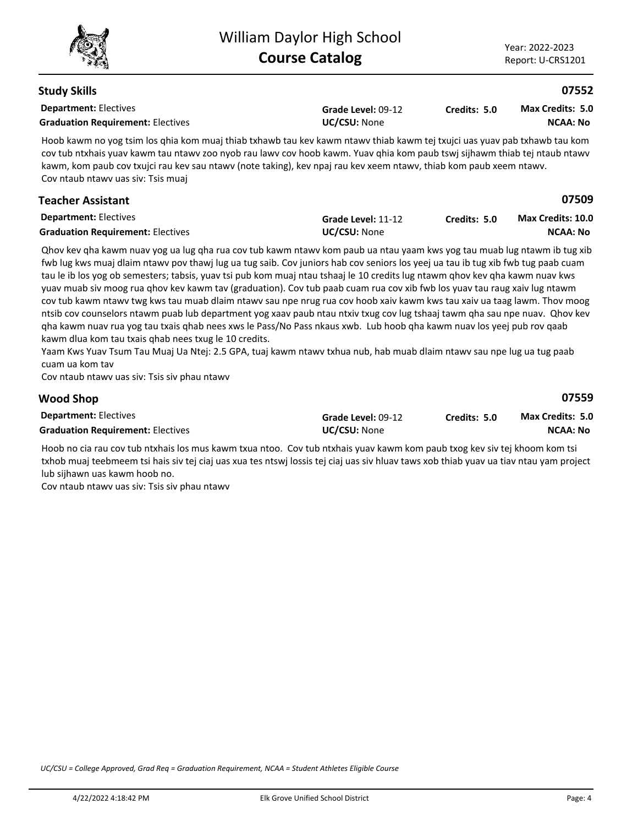| <b>Study Skills</b>                                                                                                                                                                                                                                                                                                                                                                                                                                                                                                                                                                                                                                                                                                                                                                                                                                                                                                                                                                                                                                                                                                                                                |                                    |              | 07552                                       |
|--------------------------------------------------------------------------------------------------------------------------------------------------------------------------------------------------------------------------------------------------------------------------------------------------------------------------------------------------------------------------------------------------------------------------------------------------------------------------------------------------------------------------------------------------------------------------------------------------------------------------------------------------------------------------------------------------------------------------------------------------------------------------------------------------------------------------------------------------------------------------------------------------------------------------------------------------------------------------------------------------------------------------------------------------------------------------------------------------------------------------------------------------------------------|------------------------------------|--------------|---------------------------------------------|
| <b>Department: Electives</b><br><b>Graduation Requirement: Electives</b>                                                                                                                                                                                                                                                                                                                                                                                                                                                                                                                                                                                                                                                                                                                                                                                                                                                                                                                                                                                                                                                                                           | Grade Level: 09-12<br>UC/CSU: None | Credits: 5.0 | Max Credits: 5.0<br><b>NCAA: No</b>         |
| Hoob kawm no yog tsim los qhia kom muaj thiab txhawb tau kev kawm ntawv thiab kawm tej txujci uas yuav pab txhawb tau kom<br>cov tub ntxhais yuav kawm tau ntawv zoo nyob rau lawv cov hoob kawm. Yuav qhia kom paub tswj sijhawm thiab tej ntaub ntawv<br>kawm, kom paub cov txujci rau kev sau ntawv (note taking), kev npaj rau kev xeem ntawv, thiab kom paub xeem ntawv.<br>Cov ntaub ntawv uas siv: Tsis muaj                                                                                                                                                                                                                                                                                                                                                                                                                                                                                                                                                                                                                                                                                                                                                |                                    |              |                                             |
| <b>Teacher Assistant</b>                                                                                                                                                                                                                                                                                                                                                                                                                                                                                                                                                                                                                                                                                                                                                                                                                                                                                                                                                                                                                                                                                                                                           |                                    |              | 07509                                       |
| <b>Department: Electives</b><br><b>Graduation Requirement: Electives</b>                                                                                                                                                                                                                                                                                                                                                                                                                                                                                                                                                                                                                                                                                                                                                                                                                                                                                                                                                                                                                                                                                           | Grade Level: 11-12<br>UC/CSU: None | Credits: 5.0 | <b>Max Credits: 10.0</b><br><b>NCAA: No</b> |
| Qhov kev qha kawm nuav yog ua lug qha rua cov tub kawm ntawv kom paub ua ntau yaam kws yog tau muab lug ntawm ib tug xib<br>fwb lug kws muaj dlaim ntawv pov thawj lug ua tug saib. Cov juniors hab cov seniors los yeej ua tau ib tug xib fwb tug paab cuam<br>tau le ib los yog ob semesters; tabsis, yuav tsi pub kom muaj ntau tshaaj le 10 credits lug ntawm ghov kev gha kawm nuav kws<br>yuav muab siv moog rua ghov kev kawm tav (graduation). Cov tub paab cuam rua cov xib fwb los yuav tau raug xaiv lug ntawm<br>cov tub kawm ntawv twg kws tau muab dlaim ntawv sau npe nrug rua cov hoob xaiv kawm kws tau xaiv ua taag lawm. Thov moog<br>ntsib cov counselors ntawm puab lub department yog xaav paub ntau ntxiv txug cov lug tshaaj tawm qha sau npe nuav. Qhov kev<br>qha kawm nuav rua yog tau txais qhab nees xws le Pass/No Pass nkaus xwb. Lub hoob qha kawm nuav los yeej pub rov qaab<br>kawm dlua kom tau txais qhab nees txug le 10 credits.<br>Yaam Kws Yuav Tsum Tau Muaj Ua Ntej: 2.5 GPA, tuaj kawm ntawv txhua nub, hab muab dlaim ntawv sau npe lug ua tug paab<br>cuam ua kom tav<br>Cov ntaub ntawv uas siv: Tsis siv phau ntawv |                                    |              |                                             |
| <b>Wood Shop</b>                                                                                                                                                                                                                                                                                                                                                                                                                                                                                                                                                                                                                                                                                                                                                                                                                                                                                                                                                                                                                                                                                                                                                   |                                    |              | 07559                                       |

| <b>Department: Electives</b>             | Grade Level: 09-12  | Credits: 5.0 | <b>Max Credits: 5.0</b> |
|------------------------------------------|---------------------|--------------|-------------------------|
| <b>Graduation Requirement: Electives</b> | <b>UC/CSU: None</b> |              | NCAA: No                |

Hoob no cia rau cov tub ntxhais los mus kawm txua ntoo. Cov tub ntxhais yuav kawm kom paub txog kev siv tej khoom kom tsi txhob muaj teebmeem tsi hais siv tej ciaj uas xua tes ntswj lossis tej ciaj uas siv hluav taws xob thiab yuav ua tiav ntau yam project lub sijhawn uas kawm hoob no.

Cov ntaub ntawv uas siv: Tsis siv phau ntawv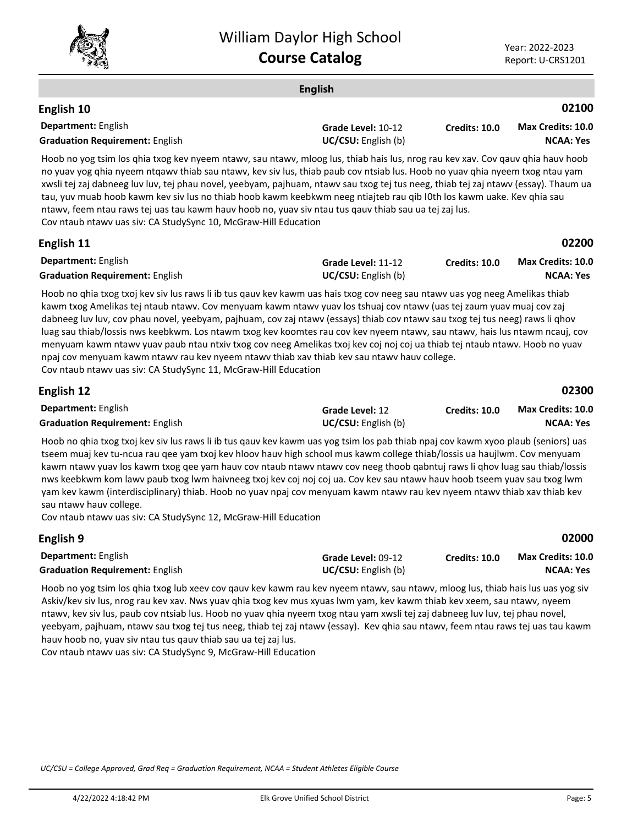

|                                                                                                                                                                                                                                                                                                                                                                                                                                                                                                                                                                                                                                                                                                                                                                                                                      | <b>English</b>                            |               |                                              |
|----------------------------------------------------------------------------------------------------------------------------------------------------------------------------------------------------------------------------------------------------------------------------------------------------------------------------------------------------------------------------------------------------------------------------------------------------------------------------------------------------------------------------------------------------------------------------------------------------------------------------------------------------------------------------------------------------------------------------------------------------------------------------------------------------------------------|-------------------------------------------|---------------|----------------------------------------------|
| English 10                                                                                                                                                                                                                                                                                                                                                                                                                                                                                                                                                                                                                                                                                                                                                                                                           |                                           |               | 02100                                        |
| Department: English<br><b>Graduation Requirement: English</b>                                                                                                                                                                                                                                                                                                                                                                                                                                                                                                                                                                                                                                                                                                                                                        | Grade Level: 10-12<br>UC/CSU: English (b) | Credits: 10.0 | <b>Max Credits: 10.0</b><br><b>NCAA: Yes</b> |
| Hoob no yog tsim los qhia txog kev nyeem ntawv, sau ntawv, mloog lus, thiab hais lus, nrog rau kev xav. Cov qauv qhia hauv hoob<br>no yuav yog qhia nyeem ntqawv thiab sau ntawv, kev siv lus, thiab paub cov ntsiab lus. Hoob no yuav qhia nyeem txog ntau yam<br>xwsli tej zaj dabneeg luv luv, tej phau novel, yeebyam, pajhuam, ntawv sau txog tej tus neeg, thiab tej zaj ntawv (essay). Thaum ua<br>tau, yuv muab hoob kawm kev siv lus no thiab hoob kawm keebkwm neeg ntiajteb rau qib I0th los kawm uake. Kev qhia sau<br>ntawv, feem ntau raws tej uas tau kawm hauv hoob no, yuav siv ntau tus qauv thiab sau ua tej zaj lus.<br>Cov ntaub ntawv uas siv: CA StudySync 10, McGraw-Hill Education                                                                                                          |                                           |               |                                              |
| English 11                                                                                                                                                                                                                                                                                                                                                                                                                                                                                                                                                                                                                                                                                                                                                                                                           |                                           |               | 02200                                        |
| <b>Department:</b> English<br><b>Graduation Requirement: English</b>                                                                                                                                                                                                                                                                                                                                                                                                                                                                                                                                                                                                                                                                                                                                                 | Grade Level: 11-12<br>UC/CSU: English (b) | Credits: 10.0 | <b>Max Credits: 10.0</b><br><b>NCAA: Yes</b> |
| Hoob no ghia txog txoj kev siv lus raws li ib tus gauv kev kawm uas hais txog cov neeg sau ntawv uas yog neeg Amelikas thiab<br>kawm txog Amelikas tej ntaub ntawv. Cov menyuam kawm ntawv yuav los tshuaj cov ntawv (uas tej zaum yuav muaj cov zaj<br>dabneeg luv luv, cov phau novel, yeebyam, pajhuam, cov zaj ntawv (essays) thiab cov ntawv sau txog tej tus neeg) raws li qhov<br>luag sau thiab/lossis nws keebkwm. Los ntawm txog kev koomtes rau cov kev nyeem ntawv, sau ntawv, hais lus ntawm ncauj, cov<br>menyuam kawm ntawy yuav paub ntau ntxiv txog cov neeg Amelikas txoj kev coj noj coj ua thiab tej ntaub ntawy. Hoob no yuav<br>npaj cov menyuam kawm ntawv rau kev nyeem ntawv thiab xav thiab kev sau ntawv hauv college.<br>Cov ntaub ntawv uas siv: CA StudySync 11, McGraw-Hill Education |                                           |               |                                              |
| <b>Englich</b> 12                                                                                                                                                                                                                                                                                                                                                                                                                                                                                                                                                                                                                                                                                                                                                                                                    |                                           |               | nssuu                                        |

| English 12                             |                            |               | 02300                    |
|----------------------------------------|----------------------------|---------------|--------------------------|
| <b>Department:</b> English             | Grade Level: 12            | Credits: 10.0 | <b>Max Credits: 10.0</b> |
| <b>Graduation Requirement: English</b> | <b>UC/CSU:</b> English (b) |               | <b>NCAA: Yes</b>         |

Hoob no qhia txog txoj kev siv lus raws li ib tus qauv kev kawm uas yog tsim los pab thiab npaj cov kawm xyoo plaub (seniors) uas tseem muaj kev tu-ncua rau qee yam txoj kev hloov hauv high school mus kawm college thiab/lossis ua haujlwm. Cov menyuam kawm ntawv yuav los kawm txog qee yam hauv cov ntaub ntawv ntawv cov neeg thoob qabntuj raws li qhov luag sau thiab/lossis nws keebkwm kom lawv paub txog lwm haivneeg txoj kev coj noj coj ua. Cov kev sau ntawv hauv hoob tseem yuav sau txog lwm yam kev kawm (interdisciplinary) thiab. Hoob no yuav npaj cov menyuam kawm ntawv rau kev nyeem ntawv thiab xav thiab kev sau ntawv hauv college.

Cov ntaub ntawv uas siv: CA StudySync 12, McGraw-Hill Education

| English 9                              |                            |                      | 02000                    |
|----------------------------------------|----------------------------|----------------------|--------------------------|
| <b>Department:</b> English             | Grade Level: 09-12         | <b>Credits: 10.0</b> | <b>Max Credits: 10.0</b> |
| <b>Graduation Requirement: English</b> | <b>UC/CSU:</b> English (b) |                      | NCAA: Yes                |

Hoob no yog tsim los qhia txog lub xeev cov qauv kev kawm rau kev nyeem ntawv, sau ntawv, mloog lus, thiab hais lus uas yog siv Askiv/kev siv lus, nrog rau kev xav. Nws yuav qhia txog kev mus xyuas lwm yam, kev kawm thiab kev xeem, sau ntawv, nyeem ntawv, kev siv lus, paub cov ntsiab lus. Hoob no yuav qhia nyeem txog ntau yam xwsli tej zaj dabneeg luv luv, tej phau novel, yeebyam, pajhuam, ntawv sau txog tej tus neeg, thiab tej zaj ntawv (essay). Kev qhia sau ntawv, feem ntau raws tej uas tau kawm hauv hoob no, yuav siv ntau tus qauv thiab sau ua tej zaj lus.

Cov ntaub ntawv uas siv: CA StudySync 9, McGraw-Hill Education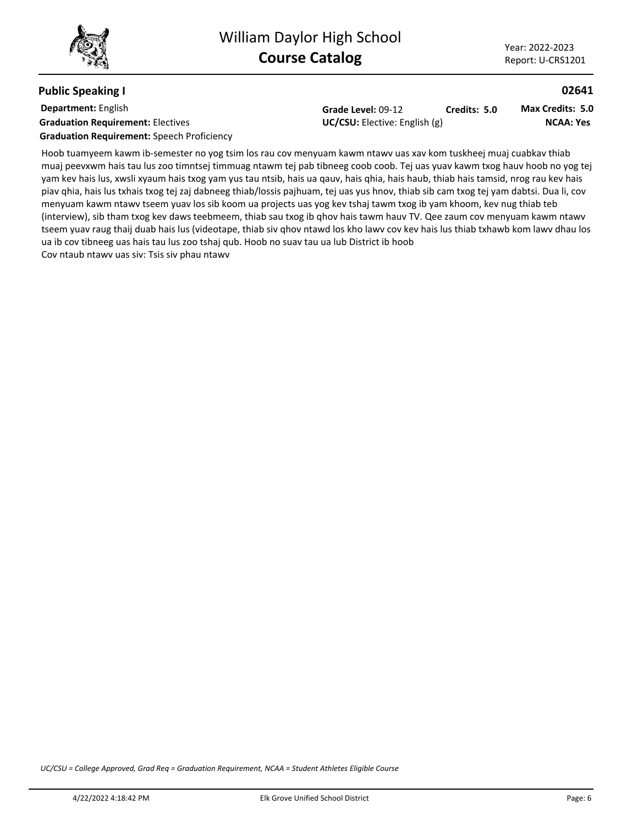### **Public Speaking I**

**Department:** English **Graduation Requirement:** Electives **Constanting Constanting Constanting Constanting Constanting Constanting Constanting Constanting Constanting Constanting Constanting Constanting Constanting Constanting Constanting Const Graduation Requirement:** Speech Proficiency

**Grade Level:** 09-12 **Credits: 5.0**

**NCAA: Yes Max Credits: 5.0**

**02641**

Hoob tuamyeem kawm ib-semester no yog tsim los rau cov menyuam kawm ntawv uas xav kom tuskheej muaj cuabkav thiab muaj peevxwm hais tau lus zoo timntsej timmuag ntawm tej pab tibneeg coob coob. Tej uas yuav kawm txog hauv hoob no yog tej yam kev hais lus, xwsli xyaum hais txog yam yus tau ntsib, hais ua qauv, hais qhia, hais haub, thiab hais tamsid, nrog rau kev hais piav qhia, hais lus txhais txog tej zaj dabneeg thiab/lossis pajhuam, tej uas yus hnov, thiab sib cam txog tej yam dabtsi. Dua li, cov menyuam kawm ntawv tseem yuav los sib koom ua projects uas yog kev tshaj tawm txog ib yam khoom, kev nug thiab teb

(interview), sib tham txog kev daws teebmeem, thiab sau txog ib qhov hais tawm hauv TV. Qee zaum cov menyuam kawm ntawv tseem yuav raug thaij duab hais lus (videotape, thiab siv qhov ntawd los kho lawv cov kev hais lus thiab txhawb kom lawv dhau los ua ib cov tibneeg uas hais tau lus zoo tshaj qub. Hoob no suav tau ua lub District ib hoob Cov ntaub ntawv uas siv: Tsis siv phau ntawv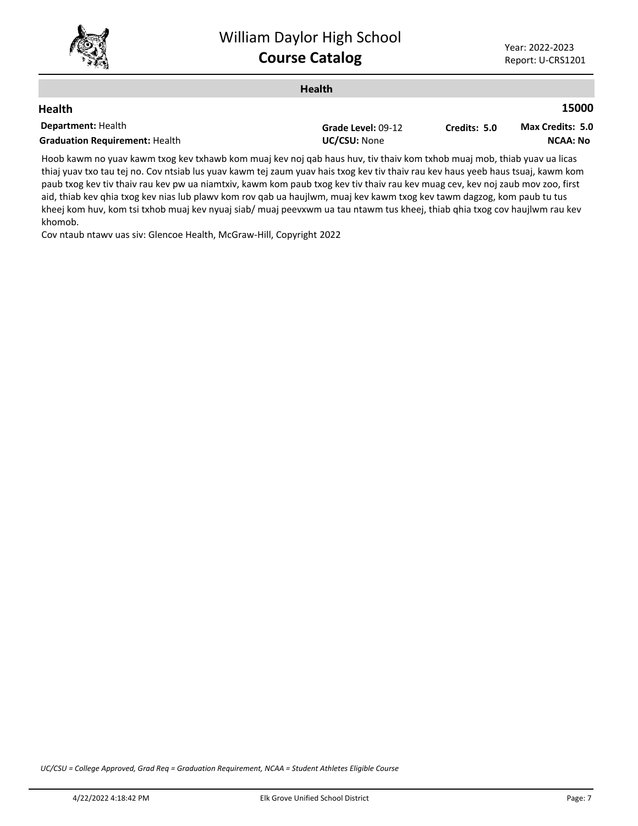

|                                       | <b>Health</b>      |              |                         |
|---------------------------------------|--------------------|--------------|-------------------------|
| <b>Health</b>                         |                    |              | 15000                   |
| <b>Department: Health</b>             | Grade Level: 09-12 | Credits: 5.0 | <b>Max Credits: 5.0</b> |
| <b>Graduation Requirement: Health</b> | UC/CSU: None       |              | <b>NCAA: No</b>         |
|                                       |                    |              |                         |

Hoob kawm no yuav kawm txog kev txhawb kom muaj kev noj qab haus huv, tiv thaiv kom txhob muaj mob, thiab yuav ua licas thiaj yuav txo tau tej no. Cov ntsiab lus yuav kawm tej zaum yuav hais txog kev tiv thaiv rau kev haus yeeb haus tsuaj, kawm kom paub txog kev tiv thaiv rau kev pw ua niamtxiv, kawm kom paub txog kev tiv thaiv rau kev muag cev, kev noj zaub mov zoo, first aid, thiab kev qhia txog kev nias lub plawv kom rov qab ua haujlwm, muaj kev kawm txog kev tawm dagzog, kom paub tu tus kheej kom huv, kom tsi txhob muaj kev nyuaj siab/ muaj peevxwm ua tau ntawm tus kheej, thiab qhia txog cov haujlwm rau kev khomob.

Cov ntaub ntawv uas siv: Glencoe Health, McGraw-Hill, Copyright 2022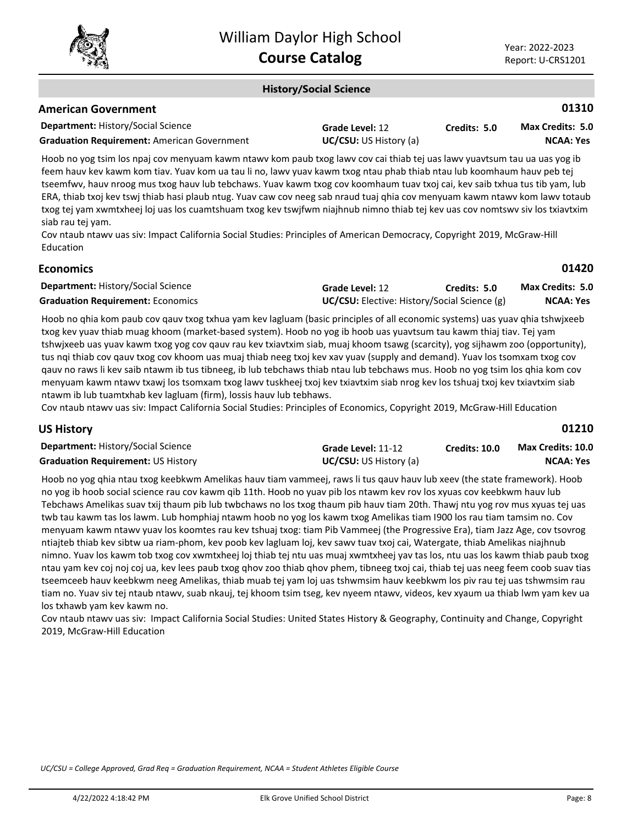

**01310**

**01420**

**01210**

### **History/Social Science**

|  | <b>American Government</b> |
|--|----------------------------|
|--|----------------------------|

| <b>Department: History/Social Science</b>          | Grade Level: 12               | Credits: 5.0 | <b>Max Credits: 5.0</b> |
|----------------------------------------------------|-------------------------------|--------------|-------------------------|
| <b>Graduation Requirement:</b> American Government | <b>UC/CSU:</b> US History (a) |              | NCAA: Yes               |

Hoob no yog tsim los npaj cov menyuam kawm ntawv kom paub txog lawv cov cai thiab tej uas lawv yuavtsum tau ua uas yog ib feem hauv kev kawm kom tiav. Yuav kom ua tau li no, lawv yuav kawm txog ntau phab thiab ntau lub koomhaum hauv peb tej tseemfwv, hauv nroog mus txog hauv lub tebchaws. Yuav kawm txog cov koomhaum tuav txoj cai, kev saib txhua tus tib yam, lub ERA, thiab txoj kev tswj thiab hasi plaub ntug. Yuav caw cov neeg sab nraud tuaj qhia cov menyuam kawm ntawv kom lawv totaub txog tej yam xwmtxheej loj uas los cuamtshuam txog kev tswjfwm niajhnub nimno thiab tej kev uas cov nomtswv siv los txiavtxim siab rau tej yam.

Cov ntaub ntawv uas siv: Impact California Social Studies: Principles of American Democracy, Copyright 2019, McGraw-Hill Education

| <b>Department: History/Social Science</b> | Grade Level: 12                                     | Credits: 5.0 | <b>Max Credits: 5.0</b> |
|-------------------------------------------|-----------------------------------------------------|--------------|-------------------------|
| <b>Graduation Requirement: Economics</b>  | <b>UC/CSU:</b> Elective: History/Social Science (g) |              | NCAA: Yes               |

Hoob no qhia kom paub cov qauv txog txhua yam kev lagluam (basic principles of all economic systems) uas yuav qhia tshwjxeeb txog kev yuav thiab muag khoom (market-based system). Hoob no yog ib hoob uas yuavtsum tau kawm thiaj tiav. Tej yam tshwjxeeb uas yuav kawm txog yog cov qauv rau kev txiavtxim siab, muaj khoom tsawg (scarcity), yog sijhawm zoo (opportunity), tus nqi thiab cov qauv txog cov khoom uas muaj thiab neeg txoj kev xav yuav (supply and demand). Yuav los tsomxam txog cov qauv no raws li kev saib ntawm ib tus tibneeg, ib lub tebchaws thiab ntau lub tebchaws mus. Hoob no yog tsim los qhia kom cov menyuam kawm ntawv txawj los tsomxam txog lawv tuskheej txoj kev txiavtxim siab nrog kev los tshuaj txoj kev txiavtxim siab ntawm ib lub tuamtxhab kev lagluam (firm), lossis hauv lub tebhaws.

Cov ntaub ntawv uas siv: Impact California Social Studies: Principles of Economics, Copyright 2019, McGraw-Hill Education

**Economics**

| <b>Department: History/Social Science</b> | Grade Level: 11-12            | <b>Credits: 10.0</b> | <b>Max Credits: 10.0</b> |
|-------------------------------------------|-------------------------------|----------------------|--------------------------|
| Graduation Requirement: US History        | <b>UC/CSU:</b> US History (a) |                      | <b>NCAA: Yes</b>         |

Hoob no yog qhia ntau txog keebkwm Amelikas hauv tiam vammeej, raws li tus qauv hauv lub xeev (the state framework). Hoob no yog ib hoob social science rau cov kawm qib 11th. Hoob no yuav pib los ntawm kev rov los xyuas cov keebkwm hauv lub Tebchaws Amelikas suav txij thaum pib lub twbchaws no los txog thaum pib hauv tiam 20th. Thawj ntu yog rov mus xyuas tej uas twb tau kawm tas los lawm. Lub homphiaj ntawm hoob no yog los kawm txog Amelikas tiam I900 los rau tiam tamsim no. Cov menyuam kawm ntawv yuav los koomtes rau kev tshuaj txog: tiam Pib Vammeej (the Progressive Era), tiam Jazz Age, cov tsovrog ntiajteb thiab kev sibtw ua riam-phom, kev poob kev lagluam loj, kev sawv tuav txoj cai, Watergate, thiab Amelikas niajhnub nimno. Yuav los kawm tob txog cov xwmtxheej loj thiab tej ntu uas muaj xwmtxheej yav tas los, ntu uas los kawm thiab paub txog ntau yam kev coj noj coj ua, kev lees paub txog qhov zoo thiab qhov phem, tibneeg txoj cai, thiab tej uas neeg feem coob suav tias tseemceeb hauv keebkwm neeg Amelikas, thiab muab tej yam loj uas tshwmsim hauv keebkwm los piv rau tej uas tshwmsim rau tiam no. Yuav siv tej ntaub ntawv, suab nkauj, tej khoom tsim tseg, kev nyeem ntawv, videos, kev xyaum ua thiab lwm yam kev ua los txhawb yam kev kawm no.

Cov ntaub ntawv uas siv: Impact California Social Studies: United States History & Geography, Continuity and Change, Copyright 2019, McGraw-Hill Education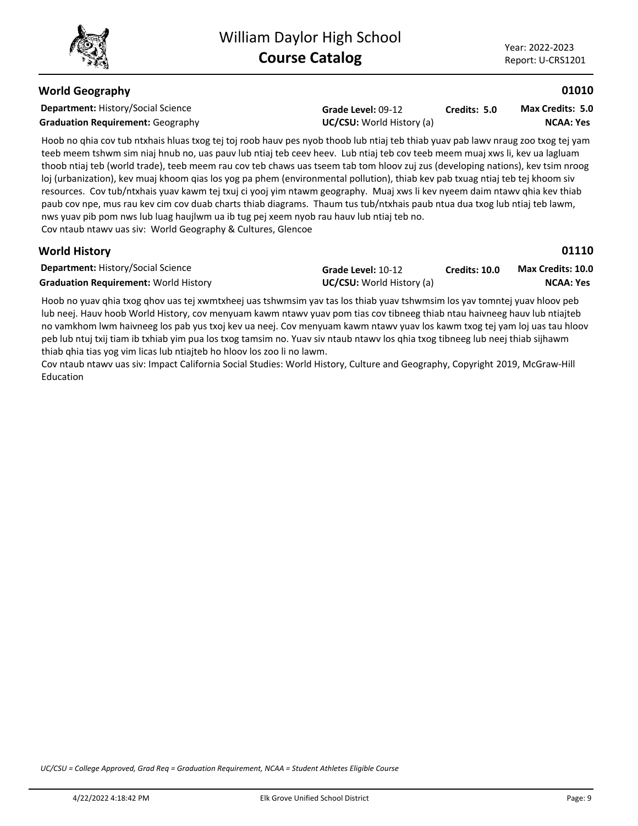### **World Geography**

**Department:** History/Social Science **Grade Level:** 09-12 **Graduation Requirement:** Geography **UC/CSU:** World History (a) **Credits: 5.0 NCAA: Yes Max Credits: 5.0**

Hoob no qhia cov tub ntxhais hluas txog tej toj roob hauv pes nyob thoob lub ntiaj teb thiab yuav pab lawv nraug zoo txog tej yam teeb meem tshwm sim niaj hnub no, uas pauv lub ntiaj teb ceev heev. Lub ntiaj teb cov teeb meem muaj xws li, kev ua lagluam thoob ntiaj teb (world trade), teeb meem rau cov teb chaws uas tseem tab tom hloov zuj zus (developing nations), kev tsim nroog loj (urbanization), kev muaj khoom qias los yog pa phem (environmental pollution), thiab kev pab txuag ntiaj teb tej khoom siv resources. Cov tub/ntxhais yuav kawm tej txuj ci yooj yim ntawm geography. Muaj xws li kev nyeem daim ntawv qhia kev thiab paub cov npe, mus rau kev cim cov duab charts thiab diagrams. Thaum tus tub/ntxhais paub ntua dua txog lub ntiaj teb lawm, nws yuav pib pom nws lub luag haujlwm ua ib tug pej xeem nyob rau hauv lub ntiaj teb no.

Cov ntaub ntawv uas siv: World Geography & Cultures, Glencoe

### **World History**

**01110**

**01010**

| <b>Department: History/Social Science</b>    | Grade Level: 10-12               | Credits: 10.0 | <b>Max Credits: 10.0</b> |
|----------------------------------------------|----------------------------------|---------------|--------------------------|
| <b>Graduation Requirement: World History</b> | <b>UC/CSU:</b> World History (a) |               | NCAA: Yes                |

Hoob no yuav qhia txog qhov uas tej xwmtxheej uas tshwmsim yav tas los thiab yuav tshwmsim los yav tomntej yuav hloov peb lub neej. Hauv hoob World History, cov menyuam kawm ntawv yuav pom tias cov tibneeg thiab ntau haivneeg hauv lub ntiajteb no vamkhom lwm haivneeg los pab yus txoj kev ua neej. Cov menyuam kawm ntawv yuav los kawm txog tej yam loj uas tau hloov peb lub ntuj txij tiam ib txhiab yim pua los txog tamsim no. Yuav siv ntaub ntawv los qhia txog tibneeg lub neej thiab sijhawm thiab qhia tias yog vim licas lub ntiajteb ho hloov los zoo li no lawm.

Cov ntaub ntawv uas siv: Impact California Social Studies: World History, Culture and Geography, Copyright 2019, McGraw-Hill Education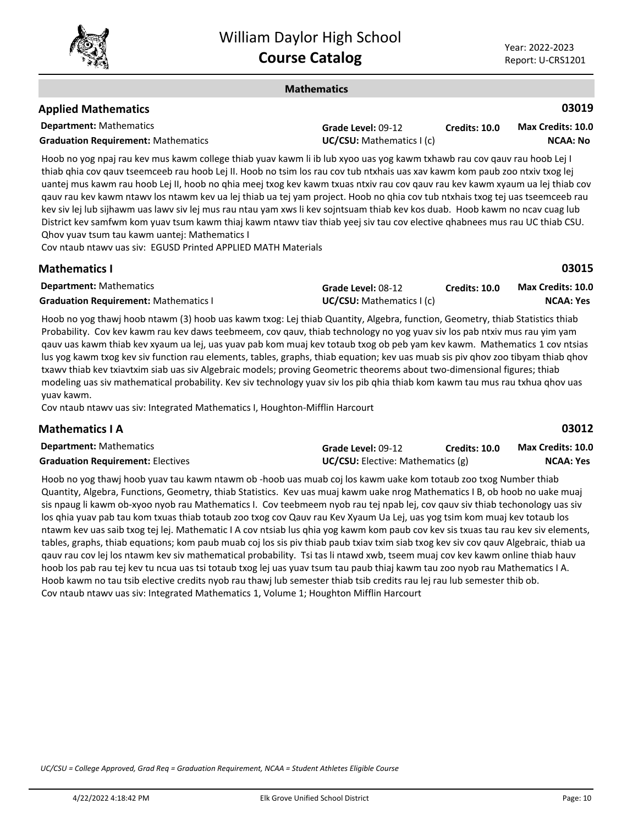

**03019**

**03015**

#### **Mathematics**

### **Applied Mathematics**

**Mathematics I**

| .                                          |                                  |                      |                   |
|--------------------------------------------|----------------------------------|----------------------|-------------------|
| <b>Department:</b> Mathematics             | <b>Grade Level: 09-12</b>        | <b>Credits: 10.0</b> | Max Credits: 10.0 |
| <b>Graduation Requirement: Mathematics</b> | <b>UC/CSU:</b> Mathematics I (c) |                      | <b>NCAA: No</b>   |

Hoob no yog npaj rau kev mus kawm college thiab yuav kawm li ib lub xyoo uas yog kawm txhawb rau cov qauv rau hoob Lej I thiab qhia cov qauv tseemceeb rau hoob Lej II. Hoob no tsim los rau cov tub ntxhais uas xav kawm kom paub zoo ntxiv txog lej uantej mus kawm rau hoob Lej II, hoob no qhia meej txog kev kawm txuas ntxiv rau cov qauv rau kev kawm xyaum ua lej thiab cov qauv rau kev kawm ntawv los ntawm kev ua lej thiab ua tej yam project. Hoob no qhia cov tub ntxhais txog tej uas tseemceeb rau kev siv lej lub sijhawm uas lawv siv lej mus rau ntau yam xws li kev sojntsuam thiab kev kos duab. Hoob kawm no ncav cuag lub District kev samfwm kom yuav tsum kawm thiaj kawm ntawv tiav thiab yeej siv tau cov elective qhabnees mus rau UC thiab CSU. Qhov yuav tsum tau kawm uantej: Mathematics I

Cov ntaub ntawv uas siv: EGUSD Printed APPLIED MATH Materials

| .                                            |                                   |               | ------                   |
|----------------------------------------------|-----------------------------------|---------------|--------------------------|
| <b>Department:</b> Mathematics               | Grade Level: 08-12                | Credits: 10.0 | <b>Max Credits: 10.0</b> |
| <b>Graduation Requirement: Mathematics I</b> | <b>UC/CSU:</b> Mathematics $I(c)$ |               | NCAA: Yes                |

Hoob no yog thawj hoob ntawm (3) hoob uas kawm txog: Lej thiab Quantity, Algebra, function, Geometry, thiab Statistics thiab Probability. Cov kev kawm rau kev daws teebmeem, cov qauv, thiab technology no yog yuav siv los pab ntxiv mus rau yim yam qauv uas kawm thiab kev xyaum ua lej, uas yuav pab kom muaj kev totaub txog ob peb yam kev kawm. Mathematics 1 cov ntsias lus yog kawm txog kev siv function rau elements, tables, graphs, thiab equation; kev uas muab sis piv qhov zoo tibyam thiab qhov txawv thiab kev txiavtxim siab uas siv Algebraic models; proving Geometric theorems about two-dimensional figures; thiab modeling uas siv mathematical probability. Kev siv technology yuav siv los pib qhia thiab kom kawm tau mus rau txhua qhov uas yuav kawm.

Cov ntaub ntawv uas siv: Integrated Mathematics I, Houghton-Mifflin Harcourt

| <b>Mathematics I A</b>                   |                                          |                      | 03012             |  |
|------------------------------------------|------------------------------------------|----------------------|-------------------|--|
| <b>Department:</b> Mathematics           | Grade Level: 09-12                       | <b>Credits: 10.0</b> | Max Credits: 10.0 |  |
| <b>Graduation Requirement: Electives</b> | <b>UC/CSU:</b> Elective: Mathematics (g) |                      | NCAA: Yes         |  |

Hoob no yog thawj hoob yuav tau kawm ntawm ob -hoob uas muab coj los kawm uake kom totaub zoo txog Number thiab Quantity, Algebra, Functions, Geometry, thiab Statistics. Kev uas muaj kawm uake nrog Mathematics I B, ob hoob no uake muaj sis npaug li kawm ob-xyoo nyob rau Mathematics I. Cov teebmeem nyob rau tej npab lej, cov qauv siv thiab techonology uas siv los qhia yuav pab tau kom txuas thiab totaub zoo txog cov Qauv rau Kev Xyaum Ua Lej, uas yog tsim kom muaj kev totaub los ntawm kev uas saib txog tej lej. Mathematic I A cov ntsiab lus qhia yog kawm kom paub cov kev sis txuas tau rau kev siv elements, tables, graphs, thiab equations; kom paub muab coj los sis piv thiab paub txiav txim siab txog kev siv cov qauv Algebraic, thiab ua qauv rau cov lej los ntawm kev siv mathematical probability. Tsi tas li ntawd xwb, tseem muaj cov kev kawm online thiab hauv hoob los pab rau tej kev tu ncua uas tsi totaub txog lej uas yuav tsum tau paub thiaj kawm tau zoo nyob rau Mathematics I A. Hoob kawm no tau tsib elective credits nyob rau thawj lub semester thiab tsib credits rau lej rau lub semester thib ob. Cov ntaub ntawv uas siv: Integrated Mathematics 1, Volume 1; Houghton Mifflin Harcourt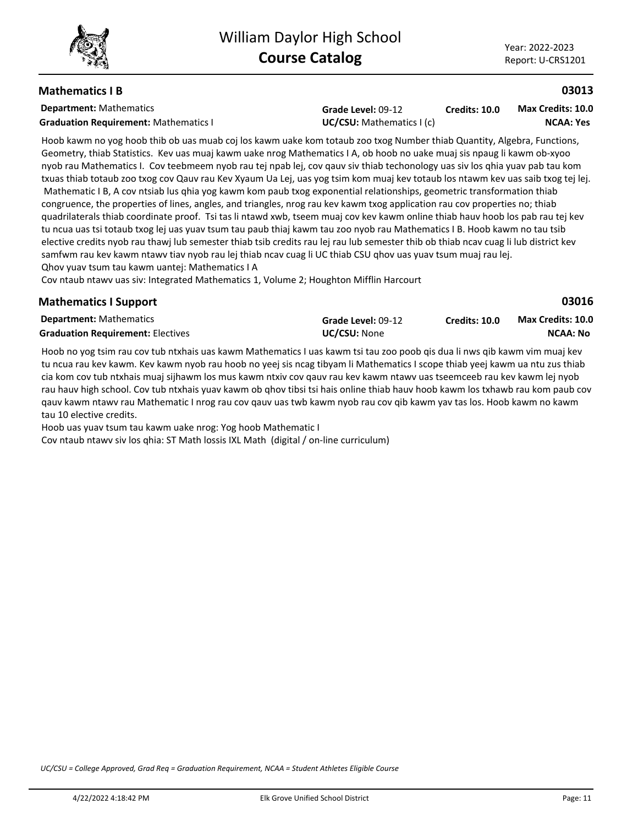**03013**

**03016**

**NCAA: No**

### **Mathematics I B**

**Department:** Mathematics

**Graduation Requirement:** Mathematics I **UC/CSU:** Mathematics I (c)

**Grade Level:** 09-12

**Credits: 10.0 NCAA: Yes Max Credits: 10.0**

Hoob kawm no yog hoob thib ob uas muab coj los kawm uake kom totaub zoo txog Number thiab Quantity, Algebra, Functions, Geometry, thiab Statistics. Kev uas muaj kawm uake nrog Mathematics I A, ob hoob no uake muaj sis npaug li kawm ob-xyoo nyob rau Mathematics I. Cov teebmeem nyob rau tej npab lej, cov qauv siv thiab techonology uas siv los qhia yuav pab tau kom txuas thiab totaub zoo txog cov Qauv rau Kev Xyaum Ua Lej, uas yog tsim kom muaj kev totaub los ntawm kev uas saib txog tej lej. Mathematic I B, A cov ntsiab lus ghia yog kawm kom paub txog exponential relationships, geometric transformation thiab congruence, the properties of lines, angles, and triangles, nrog rau kev kawm txog application rau cov properties no; thiab quadrilaterals thiab coordinate proof. Tsi tas li ntawd xwb, tseem muaj cov kev kawm online thiab hauv hoob los pab rau tej kev tu ncua uas tsi totaub txog lej uas yuav tsum tau paub thiaj kawm tau zoo nyob rau Mathematics I B. Hoob kawm no tau tsib elective credits nyob rau thawj lub semester thiab tsib credits rau lej rau lub semester thib ob thiab ncav cuag li lub district kev samfwm rau kev kawm ntawv tiav nyob rau lej thiab ncav cuag li UC thiab CSU qhov uas yuav tsum muaj rau lej. Qhov yuav tsum tau kawm uantej: Mathematics I A

Cov ntaub ntawv uas siv: Integrated Mathematics 1, Volume 2; Houghton Mifflin Harcourt

#### **Department:** Mathematics **Mathematics I Support Grade Level:** 09-12 **Graduation Requirement:** Electives **UC/CSU:** None **Credits: 10.0 Max Credits: 10.0**

Hoob no yog tsim rau cov tub ntxhais uas kawm Mathematics I uas kawm tsi tau zoo poob qis dua li nws qib kawm vim muaj kev tu ncua rau kev kawm. Kev kawm nyob rau hoob no yeej sis ncag tibyam li Mathematics I scope thiab yeej kawm ua ntu zus thiab cia kom cov tub ntxhais muaj sijhawm los mus kawm ntxiv cov qauv rau kev kawm ntawv uas tseemceeb rau kev kawm lej nyob rau hauv high school. Cov tub ntxhais yuav kawm ob qhov tibsi tsi hais online thiab hauv hoob kawm los txhawb rau kom paub cov qauv kawm ntawv rau Mathematic I nrog rau cov qauv uas twb kawm nyob rau cov qib kawm yav tas los. Hoob kawm no kawm tau 10 elective credits.

Hoob uas yuav tsum tau kawm uake nrog: Yog hoob Mathematic I

Cov ntaub ntawv siv los qhia: ST Math lossis IXL Math (digital / on-line curriculum)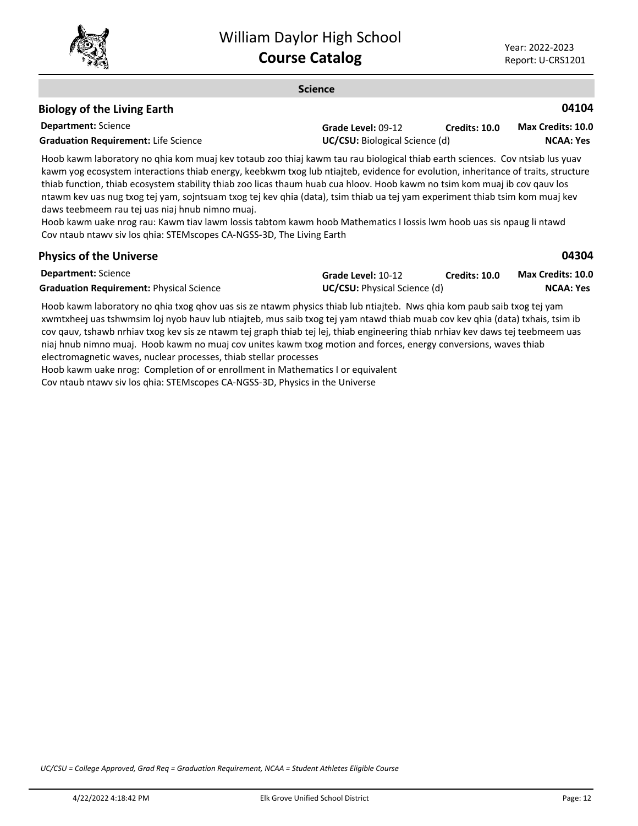

#### **Science**

### **Biology of the Living Earth**

| <b>Department:</b> Science                  | Grade Level: 09-12                    | <b>Credits: 10.0</b> | <b>Max Credits: 10.0</b> |
|---------------------------------------------|---------------------------------------|----------------------|--------------------------|
| <b>Graduation Requirement: Life Science</b> | <b>UC/CSU:</b> Biological Science (d) |                      | NCAA: Yes                |

Hoob kawm laboratory no qhia kom muaj kev totaub zoo thiaj kawm tau rau biological thiab earth sciences. Cov ntsiab lus yuav kawm yog ecosystem interactions thiab energy, keebkwm txog lub ntiajteb, evidence for evolution, inheritance of traits, structure thiab function, thiab ecosystem stability thiab zoo licas thaum huab cua hloov. Hoob kawm no tsim kom muaj ib cov qauv los ntawm kev uas nug txog tej yam, sojntsuam txog tej kev qhia (data), tsim thiab ua tej yam experiment thiab tsim kom muaj kev daws teebmeem rau tej uas niaj hnub nimno muaj.

Hoob kawm uake nrog rau: Kawm tiav lawm lossis tabtom kawm hoob Mathematics I lossis lwm hoob uas sis npaug li ntawd Cov ntaub ntawv siv los qhia: STEMscopes CA-NGSS-3D, The Living Earth

### **Physics of the Universe**

**04104**

| <b>Department:</b> Science                      | Grade Level: 10-12                  | Credits: 10.0 | <b>Max Credits: 10.0</b> |
|-------------------------------------------------|-------------------------------------|---------------|--------------------------|
| <b>Graduation Requirement: Physical Science</b> | <b>UC/CSU:</b> Physical Science (d) |               | NCAA: Yes                |

Hoob kawm laboratory no qhia txog qhov uas sis ze ntawm physics thiab lub ntiajteb. Nws qhia kom paub saib txog tej yam xwmtxheej uas tshwmsim loj nyob hauv lub ntiajteb, mus saib txog tej yam ntawd thiab muab cov kev qhia (data) txhais, tsim ib cov qauv, tshawb nrhiav txog kev sis ze ntawm tej graph thiab tej lej, thiab engineering thiab nrhiav kev daws tej teebmeem uas niaj hnub nimno muaj. Hoob kawm no muaj cov unites kawm txog motion and forces, energy conversions, waves thiab electromagnetic waves, nuclear processes, thiab stellar processes

Hoob kawm uake nrog: Completion of or enrollment in Mathematics I or equivalent

Cov ntaub ntawv siv los qhia: STEMscopes CA-NGSS-3D, Physics in the Universe